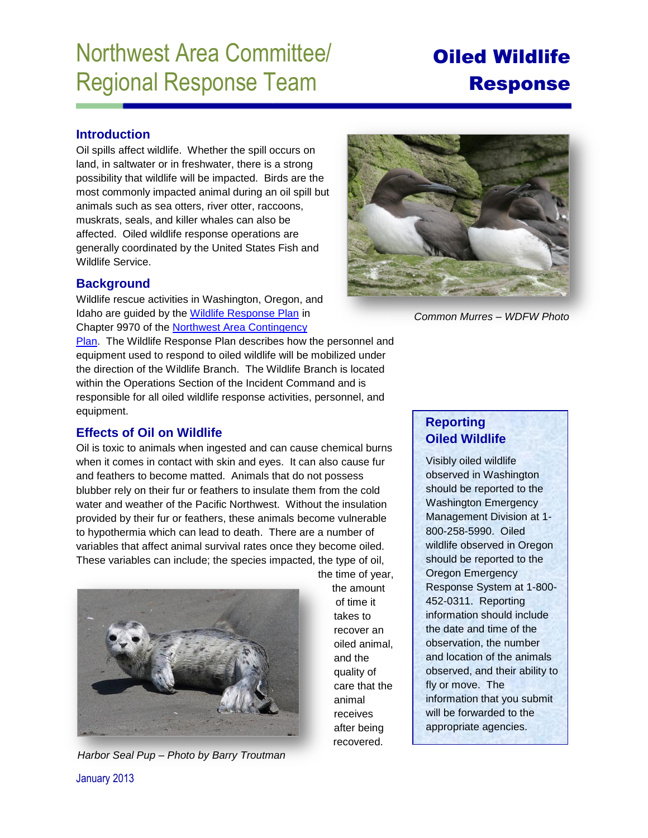# Northwest Area Committee/ Regional Response Team

# Oiled Wildlife Response

## **Introduction**

Oil spills affect wildlife. Whether the spill occurs on land, in saltwater or in freshwater, there is a strong possibility that wildlife will be impacted. Birds are the most commonly impacted animal during an oil spill but animals such as sea otters, river otter, raccoons, muskrats, seals, and killer whales can also be affected. Oiled wildlife response operations are generally coordinated by the United States Fish and Wildlife Service.

# **Background**

Wildlife rescue activities in Washington, Oregon, and Idaho are guided by the [Wildlife Response Plan](http://www.rrt10nwac.com/Files/NWACP/9970_Northwest%20Wildlife%20Response%20Plan.pdf) in Chapter 9970 of the [Northwest Area Contingency](http://www.rrt10nwac.com/NWACP/Default.aspx) 

[Plan.](http://www.rrt10nwac.com/NWACP/Default.aspx) The Wildlife Response Plan describes how the personnel and equipment used to respond to oiled wildlife will be mobilized under the direction of the Wildlife Branch. The Wildlife Branch is located within the Operations Section of the Incident Command and is responsible for all oiled wildlife response activities, personnel, and equipment.

# **Effects of Oil on Wildlife**

Oil is toxic to animals when ingested and can cause chemical burns when it comes in contact with skin and eyes. It can also cause fur and feathers to become matted. Animals that do not possess blubber rely on their fur or feathers to insulate them from the cold water and weather of the Pacific Northwest. Without the insulation provided by their fur or feathers, these animals become vulnerable to hypothermia which can lead to death. There are a number of variables that affect animal survival rates once they become oiled. These variables can include; the species impacted, the type of oil,



*Harbor Seal Pup – Photo by Barry Troutman* 

the time of year, the amount of time it takes to recover an oiled animal, and the quality of care that the animal receives after being recovered.



*Common Murres – WDFW Photo* 

# **Reporting Oiled Wildlife**

Visibly oiled wildlife observed in Washington should be reported to the Washington Emergency Management Division at 1- 800-258-5990. Oiled wildlife observed in Oregon should be reported to the Oregon Emergency Response System at 1-800- 452-0311. Reporting information should include the date and time of the observation, the number and location of the animals observed, and their ability to fly or move. The information that you submit will be forwarded to the appropriate agencies.

January 2013